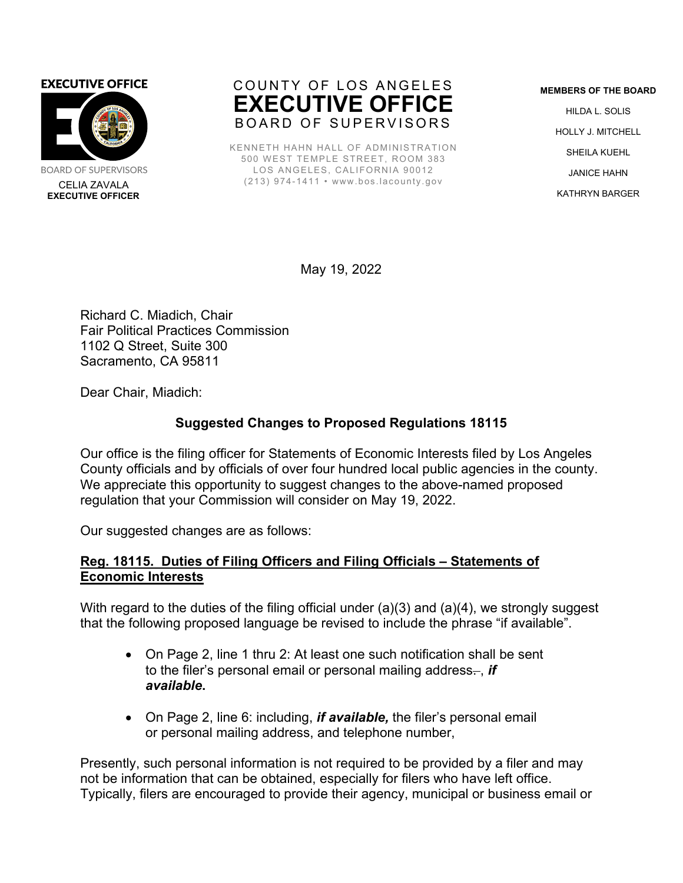## **EXECUTIVE OFFICE**



**BOARD OF SUPERVISORS**  CELIA ZAVALA  **EXECUTIVE OFFICER**

## COUNTY OF LOS ANGELES **EXECUTIVE OFFICE** BOARD OF SUPERVISORS

KENNETH HAHN HALL OF ADMINISTRATION 500 WEST TEMPLE STREET, ROOM 383 LOS ANGELES, CALIFORNIA 90012 (213) 974-1411 • www.bos.lacounty.gov

**MEMBERS OF THE BOARD** HILDA L. SOLIS HOLLY J. MITCHELL SHEILA KUEHL JANICE HAHN KATHRYN BARGER

May 19, 2022

Richard C. Miadich, Chair Fair Political Practices Commission 1102 Q Street, Suite 300 Sacramento, CA 95811

Dear Chair, Miadich:

## **Suggested Changes to Proposed Regulations 18115**

Our office is the filing officer for Statements of Economic Interests filed by Los Angeles County officials and by officials of over four hundred local public agencies in the county. We appreciate this opportunity to suggest changes to the above-named proposed regulation that your Commission will consider on May 19, 2022.

Our suggested changes are as follows:

## **Reg. 18115. Duties of Filing Officers and Filing Officials – Statements of Economic Interests**

With regard to the duties of the filing official under (a)(3) and (a)(4), we strongly suggest that the following proposed language be revised to include the phrase "if available".

- On Page 2, line 1 thru 2: At least one such notification shall be sent to the filer's personal email or personal mailing address. , *if available***.**
- On Page 2, line 6: including, *if available,* the filer's personal email or personal mailing address, and telephone number,

Presently, such personal information is not required to be provided by a filer and may not be information that can be obtained, especially for filers who have left office. Typically, filers are encouraged to provide their agency, municipal or business email or